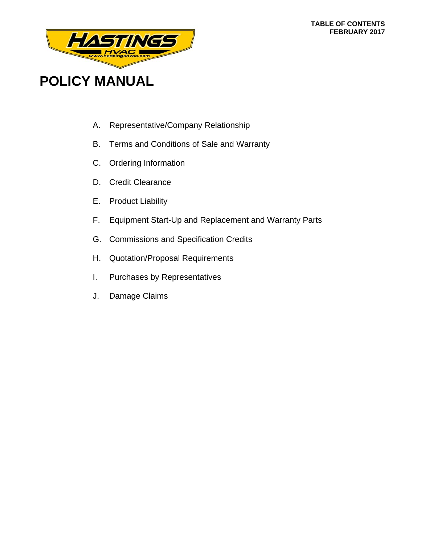#### **TABLE OF CONTENTS FEBRUARY 2017**



# **POLICY MANUAL**

- A. Representative/Company Relationship
- B. Terms and Conditions of Sale and Warranty
- C. Ordering Information
- D. Credit Clearance
- E. Product Liability
- F. Equipment Start-Up and Replacement and Warranty Parts
- G. Commissions and Specification Credits
- H. Quotation/Proposal Requirements
- I. Purchases by Representatives
- J. Damage Claims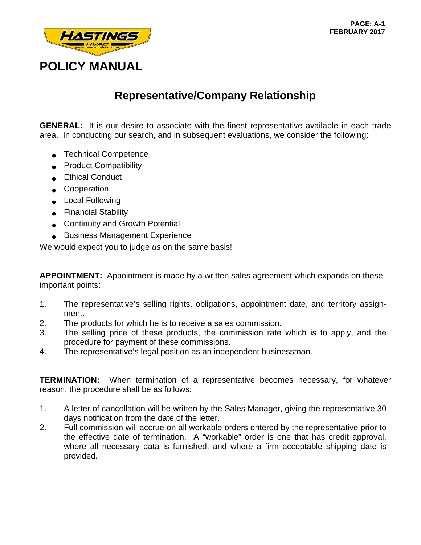

### **Representative/Company Relationship**

**GENERAL:** It is our desire to associate with the finest representative available in each trade area. In conducting our search, and in subsequent evaluations, we consider the following:

- **Technical Competence**
- Product Compatibility
- Ethical Conduct
- Cooperation
- Local Following
- Financial Stability
- Continuity and Growth Potential
- Business Management Experience

We would expect you to judge *us* on the same basis!

**APPOINTMENT:** Appointment is made by a written sales agreement which expands on these important points:

- 1. The representative's selling rights, obligations, appointment date, and territory assignment.
- 2. The products for which he is to receive a sales commission.
- 3. The selling price of these products, the commission rate which is to apply, and the procedure for payment of these commissions.
- 4. The representative's legal position as an independent businessman.

**TERMINATION:** When termination of a representative becomes necessary, for whatever reason, the procedure shall be as follows:

- 1. A letter of cancellation will be written by the Sales Manager, giving the representative 30 days notification from the date of the letter.
- 2. Full commission will accrue on all workable orders entered by the representative prior to the effective date of termination. A "workable" order is one that has credit approval, where all necessary data is furnished, and where a firm acceptable shipping date is provided.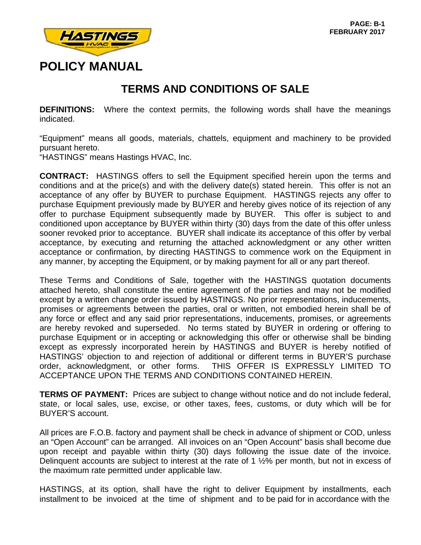

## **TERMS AND CONDITIONS OF SALE**

**DEFINITIONS:** Where the context permits, the following words shall have the meanings indicated.

"Equipment" means all goods, materials, chattels, equipment and machinery to be provided pursuant hereto.

"HASTINGS" means Hastings HVAC, Inc.

**CONTRACT:** HASTINGS offers to sell the Equipment specified herein upon the terms and conditions and at the price(s) and with the delivery date(s) stated herein. This offer is not an acceptance of any offer by BUYER to purchase Equipment. HASTINGS rejects any offer to purchase Equipment previously made by BUYER and hereby gives notice of its rejection of any offer to purchase Equipment subsequently made by BUYER. This offer is subject to and conditioned upon acceptance by BUYER within thirty (30) days from the date of this offer unless sooner revoked prior to acceptance. BUYER shall indicate its acceptance of this offer by verbal acceptance, by executing and returning the attached acknowledgment or any other written acceptance or confirmation, by directing HASTINGS to commence work on the Equipment in any manner, by accepting the Equipment, or by making payment for all or any part thereof.

These Terms and Conditions of Sale, together with the HASTINGS quotation documents attached hereto, shall constitute the entire agreement of the parties and may not be modified except by a written change order issued by HASTINGS. No prior representations, inducements, promises or agreements between the parties, oral or written, not embodied herein shall be of any force or effect and any said prior representations, inducements, promises, or agreements are hereby revoked and superseded. No terms stated by BUYER in ordering or offering to purchase Equipment or in accepting or acknowledging this offer or otherwise shall be binding except as expressly incorporated herein by HASTINGS and BUYER is hereby notified of HASTINGS' objection to and rejection of additional or different terms in BUYER'S purchase order, acknowledgment, or other forms. THIS OFFER IS EXPRESSLY LIMITED TO ACCEPTANCE UPON THE TERMS AND CONDITIONS CONTAINED HEREIN.

**TERMS OF PAYMENT:** Prices are subject to change without notice and do not include federal, state, or local sales, use, excise, or other taxes, fees, customs, or duty which will be for BUYER'S account.

All prices are F.O.B. factory and payment shall be check in advance of shipment or COD, unless an "Open Account" can be arranged. All invoices on an "Open Account" basis shall become due upon receipt and payable within thirty (30) days following the issue date of the invoice. Delinquent accounts are subject to interest at the rate of 1 ½% per month, but not in excess of the maximum rate permitted under applicable law.

HASTINGS, at its option, shall have the right to deliver Equipment by installments, each installment to be invoiced at the time of shipment and to be paid for in accordance with the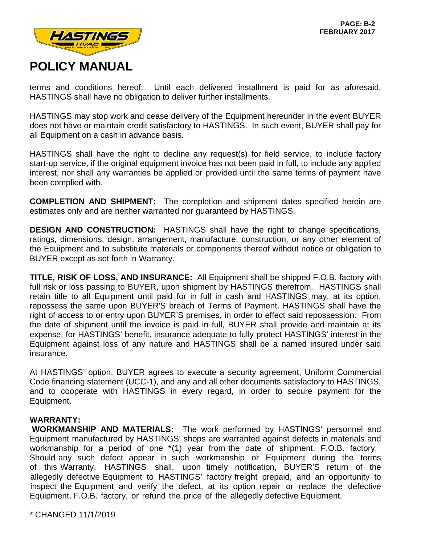

terms and conditions hereof. Until each delivered installment is paid for as aforesaid, HASTINGS shall have no obligation to deliver further installments.

HASTINGS may stop work and cease delivery of the Equipment hereunder in the event BUYER does not have or maintain credit satisfactory to HASTINGS. In such event, BUYER shall pay for all Equipment on a cash in advance basis.

HASTINGS shall have the right to decline any request(s) for field service, to include factory start-up service, if the original equipment invoice has not been paid in full, to include any applied interest, nor shall any warranties be applied or provided until the same terms of payment have been complied with.

**COMPLETION AND SHIPMENT:** The completion and shipment dates specified herein are estimates only and are neither warranted nor guaranteed by HASTINGS.

**DESIGN AND CONSTRUCTION:** HASTINGS shall have the right to change specifications, ratings, dimensions, design, arrangement, manufacture, construction, or any other element of the Equipment and to substitute materials or components thereof without notice or obligation to BUYER except as set forth in Warranty.

**TITLE, RISK OF LOSS, AND INSURANCE:** All Equipment shall be shipped F.O.B. factory with full risk or loss passing to BUYER, upon shipment by HASTINGS therefrom. HASTINGS shall retain title to all Equipment until paid for in full in cash and HASTINGS may, at its option, repossess the same upon BUYER'S breach of Terms of Payment. HASTINGS shall have the right of access to or entry upon BUYER'S premises, in order to effect said repossession. From the date of shipment until the invoice is paid in full, BUYER shall provide and maintain at its expense, for HASTINGS' benefit, insurance adequate to fully protect HASTINGS' interest in the Equipment against loss of any nature and HASTINGS shall be a named insured under said insurance.

At HASTINGS' option, BUYER agrees to execute a security agreement, Uniform Commercial Code financing statement (UCC-1), and any and all other documents satisfactory to HASTINGS, and to cooperate with HASTINGS in every regard, in order to secure payment for the Equipment.

#### **WARRANTY:**

**WORKMANSHIP AND MATERIALS:** The work performed by HASTINGS' personnel and Equipment manufactured by HASTINGS' shops are warranted against defects in materials and workmanship for a period of one \*(1) year from the date of shipment, F.O.B. factory. Should any such defect appear in such workmanship or Equipment during the terms of this Warranty, HASTINGS shall, upon timely notification, BUYER'S return of the allegedly defective Equipment to HASTINGS' factory freight prepaid, and an opportunity to inspect the Equipment and verify the defect, at its option repair or replace the defective Equipment, F.O.B. factory, or refund the price of the allegedly defective Equipment.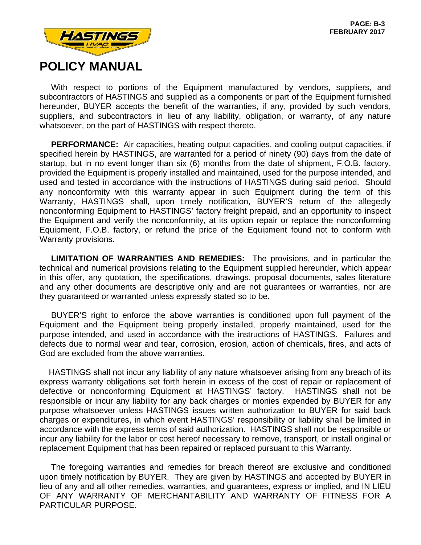

 With respect to portions of the Equipment manufactured by vendors, suppliers, and subcontractors of HASTINGS and supplied as a components or part of the Equipment furnished hereunder, BUYER accepts the benefit of the warranties, if any, provided by such vendors, suppliers, and subcontractors in lieu of any liability, obligation, or warranty, of any nature whatsoever, on the part of HASTINGS with respect thereto.

 **PERFORMANCE:** Air capacities, heating output capacities, and cooling output capacities, if specified herein by HASTINGS, are warranted for a period of ninety (90) days from the date of startup, but in no event longer than six (6) months from the date of shipment, F.O.B. factory, provided the Equipment is properly installed and maintained, used for the purpose intended, and used and tested in accordance with the instructions of HASTINGS during said period. Should any nonconformity with this warranty appear in such Equipment during the term of this Warranty, HASTINGS shall, upon timely notification, BUYER'S return of the allegedly nonconforming Equipment to HASTINGS' factory freight prepaid, and an opportunity to inspect the Equipment and verify the nonconformity, at its option repair or replace the nonconforming Equipment, F.O.B. factory, or refund the price of the Equipment found not to conform with Warranty provisions.

 **LIMITATION OF WARRANTIES AND REMEDIES:** The provisions, and in particular the technical and numerical provisions relating to the Equipment supplied hereunder, which appear in this offer, any quotation, the specifications, drawings, proposal documents, sales literature and any other documents are descriptive only and are not guarantees or warranties, nor are they guaranteed or warranted unless expressly stated so to be.

 BUYER'S right to enforce the above warranties is conditioned upon full payment of the Equipment and the Equipment being properly installed, properly maintained, used for the purpose intended, and used in accordance with the instructions of HASTINGS. Failures and defects due to normal wear and tear, corrosion, erosion, action of chemicals, fires, and acts of God are excluded from the above warranties.

 HASTINGS shall not incur any liability of any nature whatsoever arising from any breach of its express warranty obligations set forth herein in excess of the cost of repair or replacement of defective or nonconforming Equipment at HASTINGS' factory. HASTINGS shall not be responsible or incur any liability for any back charges or monies expended by BUYER for any purpose whatsoever unless HASTINGS issues written authorization to BUYER for said back charges or expenditures, in which event HASTINGS' responsibility or liability shall be limited in accordance with the express terms of said authorization. HASTINGS shall not be responsible or incur any liability for the labor or cost hereof necessary to remove, transport, or install original or replacement Equipment that has been repaired or replaced pursuant to this Warranty.

 The foregoing warranties and remedies for breach thereof are exclusive and conditioned upon timely notification by BUYER. They are given by HASTINGS and accepted by BUYER in lieu of any and all other remedies, warranties, and guarantees, express or implied, and IN LIEU OF ANY WARRANTY OF MERCHANTABILITY AND WARRANTY OF FITNESS FOR A PARTICULAR PURPOSE.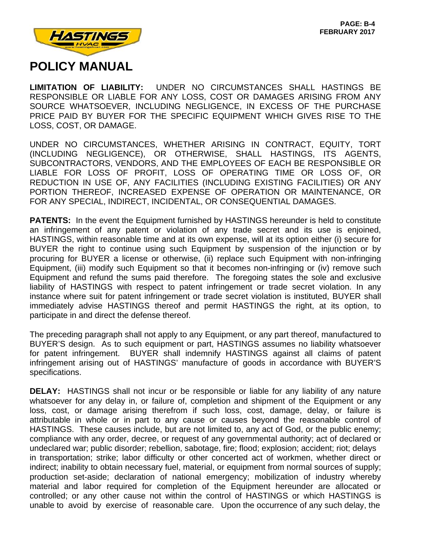

**LIMITATION OF LIABILITY:** UNDER NO CIRCUMSTANCES SHALL HASTINGS BE RESPONSIBLE OR LIABLE FOR ANY LOSS, COST OR DAMAGES ARISING FROM ANY SOURCE WHATSOEVER, INCLUDING NEGLIGENCE, IN EXCESS OF THE PURCHASE PRICE PAID BY BUYER FOR THE SPECIFIC EQUIPMENT WHICH GIVES RISE TO THE LOSS, COST, OR DAMAGE.

UNDER NO CIRCUMSTANCES, WHETHER ARISING IN CONTRACT, EQUITY, TORT (INCLUDING NEGLIGENCE), OR OTHERWISE, SHALL HASTINGS, ITS AGENTS, SUBCONTRACTORS, VENDORS, AND THE EMPLOYEES OF EACH BE RESPONSIBLE OR LIABLE FOR LOSS OF PROFIT, LOSS OF OPERATING TIME OR LOSS OF, OR REDUCTION IN USE OF, ANY FACILITIES (INCLUDING EXISTING FACILITIES) OR ANY PORTION THEREOF, INCREASED EXPENSE OF OPERATION OR MAINTENANCE, OR FOR ANY SPECIAL, INDIRECT, INCIDENTAL, OR CONSEQUENTIAL DAMAGES.

**PATENTS:** In the event the Equipment furnished by HASTINGS hereunder is held to constitute an infringement of any patent or violation of any trade secret and its use is enjoined, HASTINGS, within reasonable time and at its own expense, will at its option either (i) secure for BUYER the right to continue using such Equipment by suspension of the injunction or by procuring for BUYER a license or otherwise, (ii) replace such Equipment with non-infringing Equipment, (iii) modify such Equipment so that it becomes non-infringing or (iv) remove such Equipment and refund the sums paid therefore. The foregoing states the sole and exclusive liability of HASTINGS with respect to patent infringement or trade secret violation. In any instance where suit for patent infringement or trade secret violation is instituted, BUYER shall immediately advise HASTINGS thereof and permit HASTINGS the right, at its option, to participate in and direct the defense thereof.

The preceding paragraph shall not apply to any Equipment, or any part thereof, manufactured to BUYER'S design. As to such equipment or part, HASTINGS assumes no liability whatsoever for patent infringement. BUYER shall indemnify HASTINGS against all claims of patent infringement arising out of HASTINGS' manufacture of goods in accordance with BUYER'S specifications.

**DELAY:** HASTINGS shall not incur or be responsible or liable for any liability of any nature whatsoever for any delay in, or failure of, completion and shipment of the Equipment or any loss, cost, or damage arising therefrom if such loss, cost, damage, delay, or failure is attributable in whole or in part to any cause or causes beyond the reasonable control of HASTINGS. These causes include, but are not limited to, any act of God, or the public enemy; compliance with any order, decree, or request of any governmental authority; act of declared or undeclared war; public disorder; rebellion, sabotage, fire; flood; explosion; accident; riot; delays in transportation; strike; labor difficulty or other concerted act of workmen, whether direct or indirect; inability to obtain necessary fuel, material, or equipment from normal sources of supply; production set-aside; declaration of national emergency; mobilization of industry whereby material and labor required for completion of the Equipment hereunder are allocated or controlled; or any other cause not within the control of HASTINGS or which HASTINGS is unable to avoid by exercise of reasonable care. Upon the occurrence of any such delay, the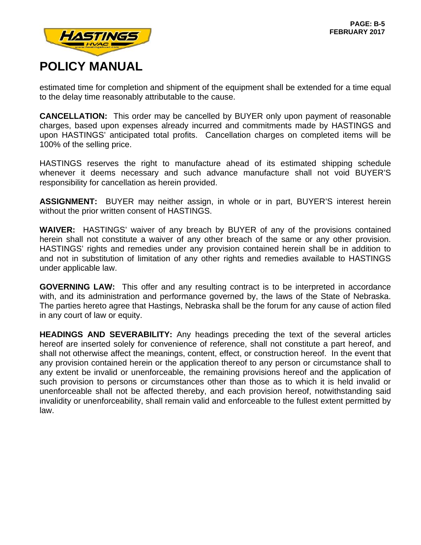

estimated time for completion and shipment of the equipment shall be extended for a time equal to the delay time reasonably attributable to the cause.

**CANCELLATION:** This order may be cancelled by BUYER only upon payment of reasonable charges, based upon expenses already incurred and commitments made by HASTINGS and upon HASTINGS' anticipated total profits. Cancellation charges on completed items will be 100% of the selling price.

HASTINGS reserves the right to manufacture ahead of its estimated shipping schedule whenever it deems necessary and such advance manufacture shall not void BUYER'S responsibility for cancellation as herein provided.

**ASSIGNMENT:** BUYER may neither assign, in whole or in part, BUYER'S interest herein without the prior written consent of HASTINGS.

**WAIVER:** HASTINGS' waiver of any breach by BUYER of any of the provisions contained herein shall not constitute a waiver of any other breach of the same or any other provision. HASTINGS' rights and remedies under any provision contained herein shall be in addition to and not in substitution of limitation of any other rights and remedies available to HASTINGS under applicable law.

**GOVERNING LAW:** This offer and any resulting contract is to be interpreted in accordance with, and its administration and performance governed by, the laws of the State of Nebraska. The parties hereto agree that Hastings, Nebraska shall be the forum for any cause of action filed in any court of law or equity.

**HEADINGS AND SEVERABILITY:** Any headings preceding the text of the several articles hereof are inserted solely for convenience of reference, shall not constitute a part hereof, and shall not otherwise affect the meanings, content, effect, or construction hereof. In the event that any provision contained herein or the application thereof to any person or circumstance shall to any extent be invalid or unenforceable, the remaining provisions hereof and the application of such provision to persons or circumstances other than those as to which it is held invalid or unenforceable shall not be affected thereby, and each provision hereof, notwithstanding said invalidity or unenforceability, shall remain valid and enforceable to the fullest extent permitted by law.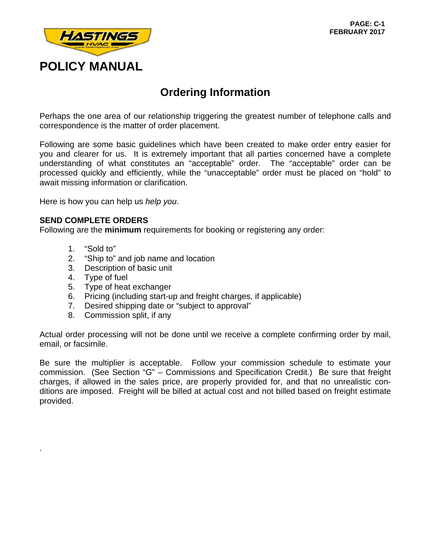

### **Ordering Information**

Perhaps the one area of our relationship triggering the greatest number of telephone calls and correspondence is the matter of order placement.

Following are some basic guidelines which have been created to make order entry easier for you and clearer for us. It is extremely important that all parties concerned have a complete understanding of what constitutes an "acceptable" order. The "acceptable" order can be processed quickly and efficiently, while the "unacceptable" order must be placed on "hold" to await missing information or clarification.

Here is how you can help us *help you*.

#### **SEND COMPLETE ORDERS**

Following are the **minimum** requirements for booking or registering any order:

1. "Sold to"

.

- 2. "Ship to" and job name and location
- 3. Description of basic unit
- 4. Type of fuel
- 5. Type of heat exchanger
- 6. Pricing (including start-up and freight charges, if applicable)
- 7. Desired shipping date or "subject to approval"
- 8. Commission split, if any

Actual order processing will not be done until we receive a complete confirming order by mail, email, or facsimile.

Be sure the multiplier is acceptable. Follow your commission schedule to estimate your commission. (See Section "G" – Commissions and Specification Credit.) Be sure that freight charges, if allowed in the sales price, are properly provided for, and that no unrealistic conditions are imposed. Freight will be billed at actual cost and not billed based on freight estimate provided.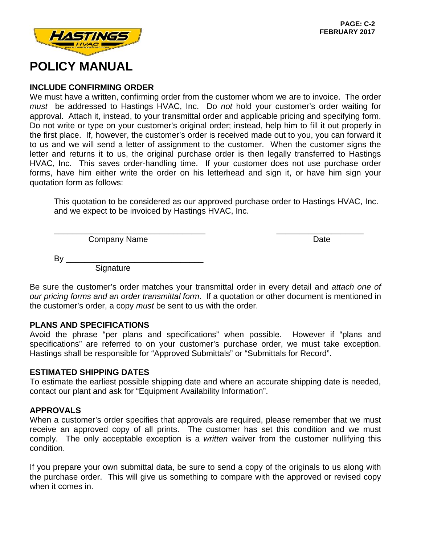

### **INCLUDE CONFIRMING ORDER**

We must have a written, confirming order from the customer whom we are to invoice. The order *must* be addressed to Hastings HVAC, Inc. Do *not* hold your customer's order waiting for approval. Attach it, instead, to your transmittal order and applicable pricing and specifying form. Do not write or type on your customer's original order; instead, help him to fill it out properly in the first place. If, however, the customer's order is received made out to you, you can forward it to us and we will send a letter of assignment to the customer. When the customer signs the letter and returns it to us, the original purchase order is then legally transferred to Hastings HVAC, Inc. This saves order-handling time. If your customer does not use purchase order forms, have him either write the order on his letterhead and sign it, or have him sign your quotation form as follows:

This quotation to be considered as our approved purchase order to Hastings HVAC, Inc. and we expect to be invoiced by Hastings HVAC, Inc.

\_\_\_\_\_\_\_\_\_\_\_\_\_\_\_\_\_\_\_\_\_\_\_\_\_\_\_\_\_\_\_\_\_ \_\_\_\_\_\_\_\_\_\_\_\_\_\_\_\_\_\_\_

Company Name Date Date Date

By \_\_\_\_\_\_\_\_\_\_\_\_\_\_\_\_\_\_\_\_\_\_\_\_\_\_\_\_\_\_ **Signature** 

Be sure the customer's order matches your transmittal order in every detail and *attach one of our pricing forms and an order transmittal form*. If a quotation or other document is mentioned in the customer's order, a copy *must* be sent to us with the order.

### **PLANS AND SPECIFICATIONS**

Avoid the phrase "per plans and specifications" when possible. However if "plans and specifications" are referred to on your customer's purchase order, we must take exception. Hastings shall be responsible for "Approved Submittals" or "Submittals for Record".

#### **ESTIMATED SHIPPING DATES**

To estimate the earliest possible shipping date and where an accurate shipping date is needed, contact our plant and ask for "Equipment Availability Information".

### **APPROVALS**

When a customer's order specifies that approvals are required, please remember that we must receive an approved copy of all prints. The customer has set this condition and we must comply. The only acceptable exception is a *written* waiver from the customer nullifying this condition.

If you prepare your own submittal data, be sure to send a copy of the originals to us along with the purchase order. This will give us something to compare with the approved or revised copy when it comes in.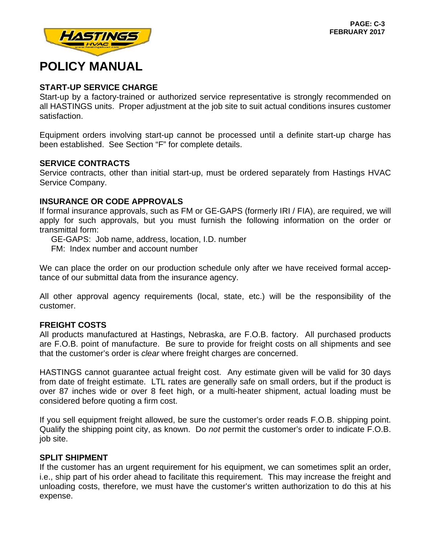

### **START-UP SERVICE CHARGE**

Start-up by a factory-trained or authorized service representative is strongly recommended on all HASTINGS units. Proper adjustment at the job site to suit actual conditions insures customer satisfaction.

Equipment orders involving start-up cannot be processed until a definite start-up charge has been established. See Section "F" for complete details.

#### **SERVICE CONTRACTS**

Service contracts, other than initial start-up, must be ordered separately from Hastings HVAC Service Company.

### **INSURANCE OR CODE APPROVALS**

If formal insurance approvals, such as FM or GE-GAPS (formerly IRI / FIA), are required, we will apply for such approvals, but you must furnish the following information on the order or transmittal form:

GE-GAPS: Job name, address, location, I.D. number

FM: Index number and account number

We can place the order on our production schedule only after we have received formal acceptance of our submittal data from the insurance agency.

All other approval agency requirements (local, state, etc.) will be the responsibility of the customer.

#### **FREIGHT COSTS**

All products manufactured at Hastings, Nebraska, are F.O.B. factory. All purchased products are F.O.B. point of manufacture. Be sure to provide for freight costs on all shipments and see that the customer's order is *clear* where freight charges are concerned.

HASTINGS cannot guarantee actual freight cost. Any estimate given will be valid for 30 days from date of freight estimate. LTL rates are generally safe on small orders, but if the product is over 87 inches wide or over 8 feet high, or a multi-heater shipment, actual loading must be considered before quoting a firm cost.

If you sell equipment freight allowed, be sure the customer's order reads F.O.B. shipping point. Qualify the shipping point city, as known. Do *not* permit the customer's order to indicate F.O.B. job site.

#### **SPLIT SHIPMENT**

If the customer has an urgent requirement for his equipment, we can sometimes split an order, i.e., ship part of his order ahead to facilitate this requirement. This may increase the freight and unloading costs, therefore, we must have the customer's written authorization to do this at his expense.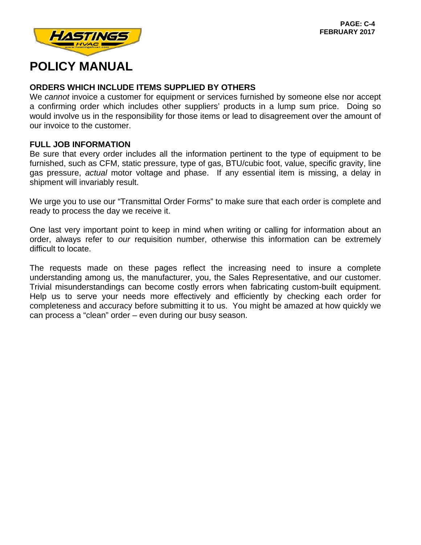

### **ORDERS WHICH INCLUDE ITEMS SUPPLIED BY OTHERS**

We *cannot* invoice a customer for equipment or services furnished by someone else nor accept a confirming order which includes other suppliers' products in a lump sum price. Doing so would involve us in the responsibility for those items or lead to disagreement over the amount of our invoice to the customer.

#### **FULL JOB INFORMATION**

Be sure that every order includes all the information pertinent to the type of equipment to be furnished, such as CFM, static pressure, type of gas, BTU/cubic foot, value, specific gravity, line gas pressure, *actual* motor voltage and phase. If any essential item is missing, a delay in shipment will invariably result.

We urge you to use our "Transmittal Order Forms" to make sure that each order is complete and ready to process the day we receive it.

One last very important point to keep in mind when writing or calling for information about an order, always refer to *our* requisition number, otherwise this information can be extremely difficult to locate.

The requests made on these pages reflect the increasing need to insure a complete understanding among us, the manufacturer, you, the Sales Representative, and our customer. Trivial misunderstandings can become costly errors when fabricating custom-built equipment. Help us to serve your needs more effectively and efficiently by checking each order for completeness and accuracy before submitting it to us. You might be amazed at how quickly we can process a "clean" order – even during our busy season.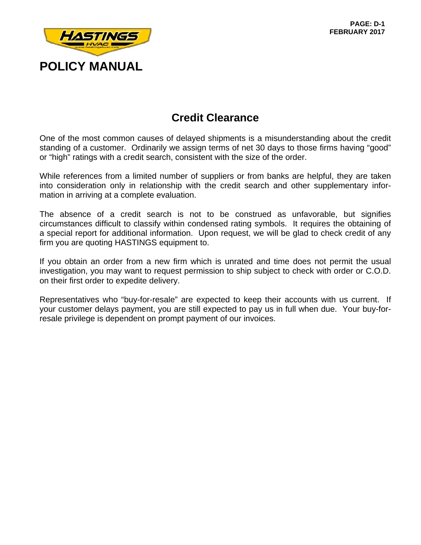

### **Credit Clearance**

One of the most common causes of delayed shipments is a misunderstanding about the credit standing of a customer. Ordinarily we assign terms of net 30 days to those firms having "good" or "high" ratings with a credit search, consistent with the size of the order.

While references from a limited number of suppliers or from banks are helpful, they are taken into consideration only in relationship with the credit search and other supplementary information in arriving at a complete evaluation.

The absence of a credit search is not to be construed as unfavorable, but signifies circumstances difficult to classify within condensed rating symbols. It requires the obtaining of a special report for additional information. Upon request, we will be glad to check credit of any firm you are quoting HASTINGS equipment to.

If you obtain an order from a new firm which is unrated and time does not permit the usual investigation, you may want to request permission to ship subject to check with order or C.O.D. on their first order to expedite delivery.

Representatives who "buy-for-resale" are expected to keep their accounts with us current. If your customer delays payment, you are still expected to pay us in full when due. Your buy-forresale privilege is dependent on prompt payment of our invoices.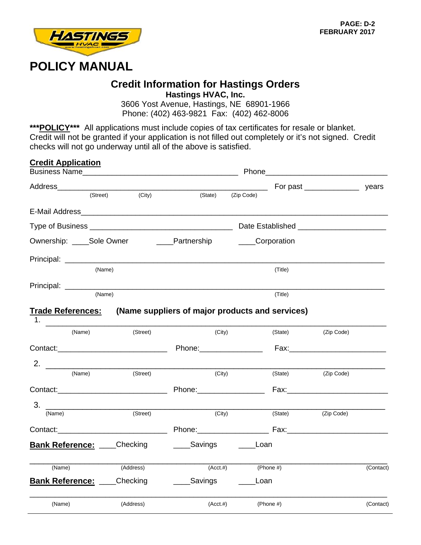

### **Credit Information for Hastings Orders Hastings HVAC, Inc.**

3606 Yost Avenue, Hastings, NE 68901-1966 Phone: (402) 463-9821 Fax: (402) 462-8006

\*\*\***POLICY\*\*\*** All applications must include copies of tax certificates for resale or blanket. Credit will not be granted if your application is not filled out completely or it's not signed. Credit checks will not go underway until all of the above is satisfied.

| <b>Credit Application</b>           |           |                                                 |                                                  |              |                                                                                                                                                                                                                                |           |
|-------------------------------------|-----------|-------------------------------------------------|--------------------------------------------------|--------------|--------------------------------------------------------------------------------------------------------------------------------------------------------------------------------------------------------------------------------|-----------|
|                                     |           |                                                 |                                                  |              |                                                                                                                                                                                                                                |           |
|                                     |           |                                                 |                                                  |              | For past ______________________ years                                                                                                                                                                                          |           |
| (Street)                            | (City)    | (State)                                         | (Zip Code)                                       |              |                                                                                                                                                                                                                                |           |
|                                     |           |                                                 |                                                  |              |                                                                                                                                                                                                                                |           |
|                                     |           |                                                 |                                                  |              |                                                                                                                                                                                                                                |           |
| Ownership: Sole Owner               |           | <b>Example 1</b> Partnership                    | _____Corporation                                 |              |                                                                                                                                                                                                                                |           |
|                                     |           |                                                 |                                                  |              |                                                                                                                                                                                                                                |           |
|                                     | (Name)    |                                                 |                                                  | (Title)      |                                                                                                                                                                                                                                |           |
| Principal: ______________           |           |                                                 |                                                  |              |                                                                                                                                                                                                                                |           |
|                                     | (Name)    |                                                 |                                                  | (Title)      |                                                                                                                                                                                                                                |           |
| <u>Trade References:</u>            |           | (Name suppliers of major products and services) |                                                  |              |                                                                                                                                                                                                                                |           |
| (Name)                              | (Street)  | (City)                                          |                                                  | (State)      | (Zip Code)                                                                                                                                                                                                                     |           |
|                                     |           |                                                 |                                                  |              |                                                                                                                                                                                                                                |           |
| 2. $\overline{\phantom{a}}$         |           |                                                 |                                                  |              |                                                                                                                                                                                                                                |           |
| (Name)                              | (Street)  | (City)                                          |                                                  | (State)      | (Zip Code)                                                                                                                                                                                                                     |           |
|                                     |           |                                                 |                                                  |              | Fax: Exercise and the second contract of the second second contract of the second second contract of the second second second second second second second second second second second second second second second second secon |           |
| 3.                                  |           |                                                 |                                                  |              |                                                                                                                                                                                                                                |           |
| (Name)                              | (Street)  | (City)                                          |                                                  | (State)      | (Zip Code)                                                                                                                                                                                                                     |           |
|                                     |           |                                                 |                                                  |              |                                                                                                                                                                                                                                |           |
| <b>Bank Reference: Checking</b>     |           | ____Savings                                     | Loan                                             |              |                                                                                                                                                                                                                                |           |
| (Name)                              | (Address) | $(Acct. \#)$                                    |                                                  | (Phone #)    |                                                                                                                                                                                                                                | (Contact) |
| <b>Bank Reference: ____Checking</b> |           | _____Savings                                    | Loan<br>$\frac{1}{2}$ . The set of $\frac{1}{2}$ |              |                                                                                                                                                                                                                                |           |
| (Name)                              | (Address) | $(Acct. \#)$                                    |                                                  | (Phone $#$ ) |                                                                                                                                                                                                                                | (Contact) |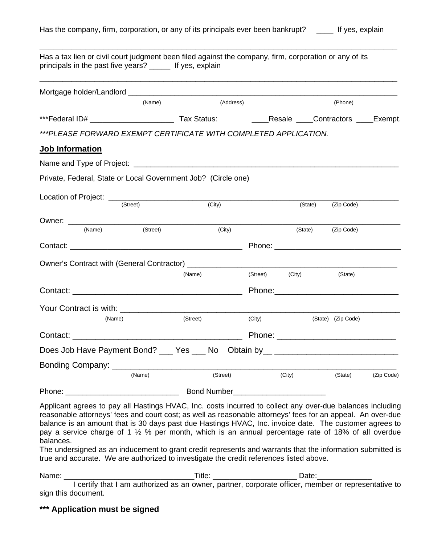|  |  | Has the company, firm, corporation, or any of its principals ever been bankrupt? |  | _____ If yes, explain |
|--|--|----------------------------------------------------------------------------------|--|-----------------------|
|--|--|----------------------------------------------------------------------------------|--|-----------------------|

| Has a tax lien or civil court judgment been filed against the company, firm, corporation or any of its<br>principals in the past five years? ______ If yes, explain                                                                                                                                                                                                                                                                                                                                                                                                                                                                                           |          |                                  |           |          |                                                                                                     |                    |  |
|---------------------------------------------------------------------------------------------------------------------------------------------------------------------------------------------------------------------------------------------------------------------------------------------------------------------------------------------------------------------------------------------------------------------------------------------------------------------------------------------------------------------------------------------------------------------------------------------------------------------------------------------------------------|----------|----------------------------------|-----------|----------|-----------------------------------------------------------------------------------------------------|--------------------|--|
|                                                                                                                                                                                                                                                                                                                                                                                                                                                                                                                                                                                                                                                               |          |                                  |           |          |                                                                                                     |                    |  |
|                                                                                                                                                                                                                                                                                                                                                                                                                                                                                                                                                                                                                                                               | (Name)   |                                  | (Address) |          |                                                                                                     | (Phone)            |  |
|                                                                                                                                                                                                                                                                                                                                                                                                                                                                                                                                                                                                                                                               |          |                                  |           |          |                                                                                                     |                    |  |
| ***PLEASE FORWARD EXEMPT CERTIFICATE WITH COMPLETED APPLICATION.                                                                                                                                                                                                                                                                                                                                                                                                                                                                                                                                                                                              |          |                                  |           |          |                                                                                                     |                    |  |
| Job Information                                                                                                                                                                                                                                                                                                                                                                                                                                                                                                                                                                                                                                               |          |                                  |           |          |                                                                                                     |                    |  |
|                                                                                                                                                                                                                                                                                                                                                                                                                                                                                                                                                                                                                                                               |          |                                  |           |          |                                                                                                     |                    |  |
| Private, Federal, State or Local Government Job? (Circle one)                                                                                                                                                                                                                                                                                                                                                                                                                                                                                                                                                                                                 |          |                                  |           |          |                                                                                                     |                    |  |
|                                                                                                                                                                                                                                                                                                                                                                                                                                                                                                                                                                                                                                                               |          | $\overline{(City)}$              |           |          | (State)                                                                                             | (Zip Code)         |  |
|                                                                                                                                                                                                                                                                                                                                                                                                                                                                                                                                                                                                                                                               |          |                                  |           |          |                                                                                                     |                    |  |
| (Name)                                                                                                                                                                                                                                                                                                                                                                                                                                                                                                                                                                                                                                                        | (Street) |                                  | (City)    |          | (State)                                                                                             | (Zip Code)         |  |
|                                                                                                                                                                                                                                                                                                                                                                                                                                                                                                                                                                                                                                                               |          |                                  |           |          |                                                                                                     |                    |  |
|                                                                                                                                                                                                                                                                                                                                                                                                                                                                                                                                                                                                                                                               |          |                                  |           |          |                                                                                                     |                    |  |
|                                                                                                                                                                                                                                                                                                                                                                                                                                                                                                                                                                                                                                                               |          | (Name)                           |           | (Street) | (City)                                                                                              | (State)            |  |
| Contact:                                                                                                                                                                                                                                                                                                                                                                                                                                                                                                                                                                                                                                                      |          |                                  |           |          | Phone: Note: Note: Note: Note: Note: Note: Note: Note: Note: Note: Note: Note: Note: Note: Note: No |                    |  |
| Your Contract is with: ___________________________________                                                                                                                                                                                                                                                                                                                                                                                                                                                                                                                                                                                                    |          |                                  |           |          |                                                                                                     |                    |  |
| (Name)                                                                                                                                                                                                                                                                                                                                                                                                                                                                                                                                                                                                                                                        |          | (Street)                         |           | (City)   |                                                                                                     | (State) (Zip Code) |  |
|                                                                                                                                                                                                                                                                                                                                                                                                                                                                                                                                                                                                                                                               |          |                                  |           |          |                                                                                                     |                    |  |
| Does Job Have Payment Bond? ___ Yes ___ No Obtain by__ _________________________                                                                                                                                                                                                                                                                                                                                                                                                                                                                                                                                                                              |          |                                  |           |          |                                                                                                     |                    |  |
|                                                                                                                                                                                                                                                                                                                                                                                                                                                                                                                                                                                                                                                               |          |                                  |           |          |                                                                                                     |                    |  |
|                                                                                                                                                                                                                                                                                                                                                                                                                                                                                                                                                                                                                                                               | (Name)   |                                  | (Street)  |          | (City)                                                                                              | (State) (Zip Code) |  |
|                                                                                                                                                                                                                                                                                                                                                                                                                                                                                                                                                                                                                                                               |          |                                  |           |          |                                                                                                     |                    |  |
| Applicant agrees to pay all Hastings HVAC, Inc. costs incurred to collect any over-due balances including<br>reasonable attorneys' fees and court cost; as well as reasonable attorneys' fees for an appeal. An over-due<br>balance is an amount that is 30 days past due Hastings HVAC, Inc. invoice date. The customer agrees to<br>pay a service charge of 1 % % per month, which is an annual percentage rate of 18% of all overdue<br>balances.<br>The undersigned as an inducement to grant credit represents and warrants that the information submitted is<br>true and accurate. We are authorized to investigate the credit references listed above. |          |                                  |           |          |                                                                                                     |                    |  |
| Name:                                                                                                                                                                                                                                                                                                                                                                                                                                                                                                                                                                                                                                                         |          | _Title: $\overline{\phantom{a}}$ |           |          | Date:                                                                                               |                    |  |

 I certify that I am authorized as an owner, partner, corporate officer, member or representative to sign this document.

**\*\*\* Application must be signed**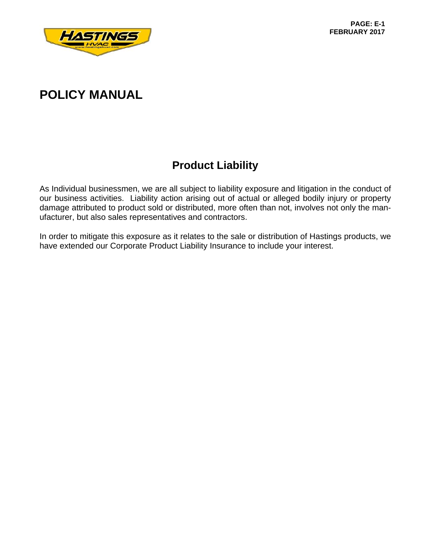

## **Product Liability**

As Individual businessmen, we are all subject to liability exposure and litigation in the conduct of our business activities. Liability action arising out of actual or alleged bodily injury or property damage attributed to product sold or distributed, more often than not, involves not only the manufacturer, but also sales representatives and contractors.

In order to mitigate this exposure as it relates to the sale or distribution of Hastings products, we have extended our Corporate Product Liability Insurance to include your interest.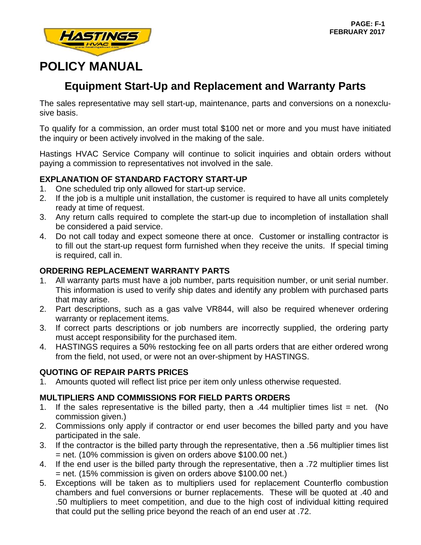

### **Equipment Start-Up and Replacement and Warranty Parts**

The sales representative may sell start-up, maintenance, parts and conversions on a nonexclusive basis.

To qualify for a commission, an order must total \$100 net or more and you must have initiated the inquiry or been actively involved in the making of the sale.

Hastings HVAC Service Company will continue to solicit inquiries and obtain orders without paying a commission to representatives not involved in the sale.

### **EXPLANATION OF STANDARD FACTORY START-UP**

- 1. One scheduled trip only allowed for start-up service.
- 2. If the job is a multiple unit installation, the customer is required to have all units completely ready at time of request.
- 3. Any return calls required to complete the start-up due to incompletion of installation shall be considered a paid service.
- 4. Do not call today and expect someone there at once. Customer or installing contractor is to fill out the start-up request form furnished when they receive the units. If special timing is required, call in.

### **ORDERING REPLACEMENT WARRANTY PARTS**

- 1. All warranty parts must have a job number, parts requisition number, or unit serial number. This information is used to verify ship dates and identify any problem with purchased parts that may arise.
- 2. Part descriptions, such as a gas valve VR844, will also be required whenever ordering warranty or replacement items.
- 3. If correct parts descriptions or job numbers are incorrectly supplied, the ordering party must accept responsibility for the purchased item.
- 4. HASTINGS requires a 50% restocking fee on all parts orders that are either ordered wrong from the field, not used, or were not an over-shipment by HASTINGS.

### **QUOTING OF REPAIR PARTS PRICES**

1. Amounts quoted will reflect list price per item only unless otherwise requested.

### **MULTIPLIERS AND COMMISSIONS FOR FIELD PARTS ORDERS**

- 1. If the sales representative is the billed party, then a .44 multiplier times list  $=$  net. (No commission given.)
- 2. Commissions only apply if contractor or end user becomes the billed party and you have participated in the sale.
- 3. If the contractor is the billed party through the representative, then a .56 multiplier times list = net. (10% commission is given on orders above \$100.00 net.)
- 4. If the end user is the billed party through the representative, then a .72 multiplier times list = net. (15% commission is given on orders above \$100.00 net.)
- 5. Exceptions will be taken as to multipliers used for replacement Counterflo combustion chambers and fuel conversions or burner replacements. These will be quoted at .40 and .50 multipliers to meet competition, and due to the high cost of individual kitting required that could put the selling price beyond the reach of an end user at .72.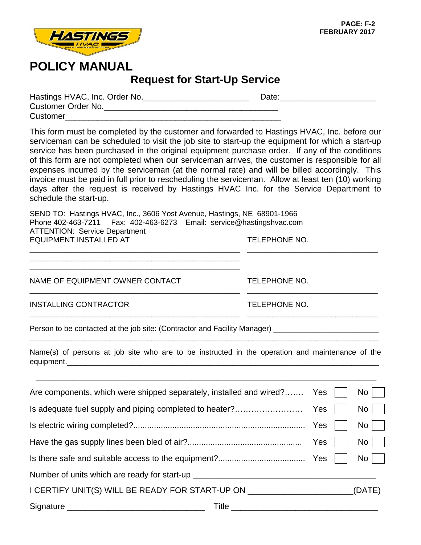

### **Request for Start-Up Service**

| Hastings HVAC, Inc. Order No. | Date: |
|-------------------------------|-------|
| Customer Order No.            |       |
| Customer                      |       |

This form must be completed by the customer and forwarded to Hastings HVAC, Inc. before our serviceman can be scheduled to visit the job site to start-up the equipment for which a start-up service has been purchased in the original equipment purchase order. If any of the conditions of this form are not completed when our serviceman arrives, the customer is responsible for all expenses incurred by the serviceman (at the normal rate) and will be billed accordingly. This invoice must be paid in full prior to rescheduling the serviceman. Allow at least ten (10) working days after the request is received by Hastings HVAC Inc. for the Service Department to schedule the start-up.

\_\_\_\_\_\_\_\_\_\_\_\_\_\_\_\_\_\_\_\_\_\_\_\_\_\_\_\_\_\_\_\_\_\_\_\_\_\_\_\_\_\_\_\_\_\_\_\_\_\_ \_\_\_\_\_\_\_\_\_\_\_\_\_\_\_\_\_\_\_\_\_\_\_\_\_\_\_\_\_\_\_

\_\_\_\_\_\_\_\_\_\_\_\_\_\_\_\_\_\_\_\_\_\_\_\_\_\_\_\_\_\_\_\_\_\_\_\_\_\_\_\_\_\_\_\_\_\_\_\_\_\_ \_\_\_\_\_\_\_\_\_\_\_\_\_\_\_\_\_\_\_\_\_\_\_\_\_\_\_\_\_\_\_

\_\_\_\_\_\_\_\_\_\_\_\_\_\_\_\_\_\_\_\_\_\_\_\_\_\_\_\_\_\_\_\_\_\_\_\_\_\_\_\_\_\_\_\_\_\_\_\_\_\_ \_\_\_\_\_\_\_\_\_\_\_\_\_\_\_\_\_\_\_\_\_\_\_\_\_\_\_\_\_\_\_

SEND TO: Hastings HVAC, Inc., 3606 Yost Avenue, Hastings, NE 68901-1966 Phone 402-463-7211 Fax: 402-463-6273 Email: service@hastingshvac.com ATTENTION: Service Department EQUIPMENT INSTALLED AT TELEPHONE NO.

NAME OF EQUIPMENT OWNER CONTACT TELEPHONE NO.

INSTALLING CONTRACTOR TELEPHONE NO.

Person to be contacted at the job site: (Contractor and Facility Manager)

\_\_\_\_\_\_\_\_\_\_\_\_\_\_\_\_\_\_\_\_\_\_\_\_\_\_\_\_\_\_\_\_\_\_\_\_\_\_\_\_\_\_\_\_\_\_\_\_\_\_ \_\_\_\_\_\_\_\_\_\_\_\_\_\_\_\_\_\_\_\_\_\_\_\_\_\_\_\_\_\_\_\_\_\_\_\_\_\_\_\_\_\_\_\_\_\_\_\_\_\_

Name(s) of persons at job site who are to be instructed in the operation and maintenance of the equipment.\_\_\_\_\_\_\_\_\_\_\_\_\_\_\_\_\_\_\_\_\_\_\_\_\_\_\_\_\_\_\_\_\_\_\_\_\_\_\_\_\_\_\_\_\_\_\_\_\_\_\_\_\_\_\_\_\_\_\_\_\_\_\_\_\_\_\_\_

\_\_\_\_\_\_\_\_\_\_\_\_\_\_\_\_\_\_\_\_\_\_\_\_\_\_\_\_\_\_\_\_\_\_\_\_\_\_\_\_\_\_\_\_\_\_\_\_\_\_\_\_\_\_\_\_\_\_\_\_\_\_\_\_\_\_\_\_\_\_\_\_\_\_\_\_\_\_\_\_\_\_\_

\_\_\_\_\_\_\_\_\_\_\_\_\_\_\_\_\_\_\_\_\_\_\_\_\_\_\_\_\_\_\_\_\_\_\_\_\_\_\_\_\_\_\_\_\_\_\_\_\_\_\_\_\_\_\_\_\_\_\_\_\_\_\_\_\_\_\_\_\_\_\_\_\_\_\_\_\_\_\_\_\_\_\_

| Are components, which were shipped separately, installed and wired? Yes          |  | $\mathsf{No}$ |
|----------------------------------------------------------------------------------|--|---------------|
|                                                                                  |  | $No$          |
|                                                                                  |  | $No$          |
|                                                                                  |  | No            |
|                                                                                  |  | No l          |
| Number of units which are ready for start-up ___________________________________ |  |               |
| I CERTIFY UNIT(S) WILL BE READY FOR START-UP ON ________________________________ |  | (DATE)        |
| Title _________________                                                          |  |               |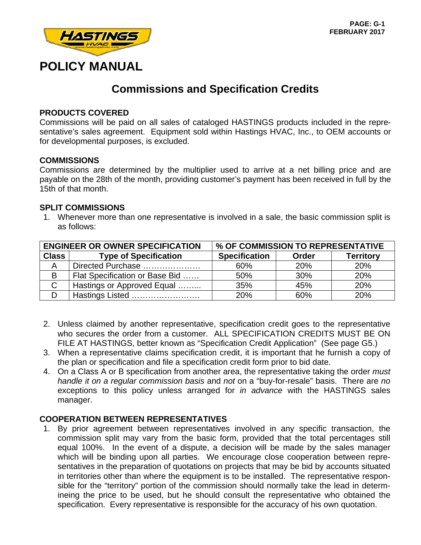

### **Commissions and Specification Credits**

#### **PRODUCTS COVERED**

Commissions will be paid on all sales of cataloged HASTINGS products included in the representative's sales agreement. Equipment sold within Hastings HVAC, Inc., to OEM accounts or for developmental purposes, is excluded.

#### **COMMISSIONS**

Commissions are determined by the multiplier used to arrive at a net billing price and are payable on the 28th of the month, providing customer's payment has been received in full by the 15th of that month.

#### **SPLIT COMMISSIONS**

1. Whenever more than one representative is involved in a sale, the basic commission split is as follows:

|              | <b>ENGINEER OR OWNER SPECIFICATION</b> | % OF COMMISSION TO REPRESENTATIVE |            |                  |  |
|--------------|----------------------------------------|-----------------------------------|------------|------------------|--|
| <b>Class</b> | <b>Type of Specification</b>           | <b>Specification</b>              | Order      | <b>Territory</b> |  |
|              | Directed Purchase                      | 60%                               | <b>20%</b> | 20%              |  |
| В            | Flat Specification or Base Bid         | 50%                               | 30%        | 20%              |  |
|              | Hastings or Approved Equal             | 35%                               | 45%        | 20%              |  |
|              | Hastings Listed                        | 20%                               | 60%        | 20%              |  |

- 2. Unless claimed by another representative, specification credit goes to the representative who secures the order from a customer. ALL SPECIFICATION CREDITS MUST BE ON FILE AT HASTINGS, better known as "Specification Credit Application" (See page G5.)
- 3. When a representative claims specification credit, it is important that he furnish a copy of the plan or specification and file a specification credit form prior to bid date.
- 4. On a Class A or B specification from another area, the representative taking the order *must handle it on a regular commission basis* and *not* on a "buy-for-resale" basis. There are *no*  exceptions to this policy unless arranged for *in advance* with the HASTINGS sales manager.

#### **COOPERATION BETWEEN REPRESENTATIVES**

1. By prior agreement between representatives involved in any specific transaction, the commission split may vary from the basic form, provided that the total percentages still equal 100%. In the event of a dispute, a decision will be made by the sales manager which will be binding upon all parties. We encourage close cooperation between representatives in the preparation of quotations on projects that may be bid by accounts situated in territories other than where the equipment is to be installed. The representative responsible for the "territory" portion of the commission should normally take the lead in determineing the price to be used, but he should consult the representative who obtained the specification. Every representative is responsible for the accuracy of his own quotation.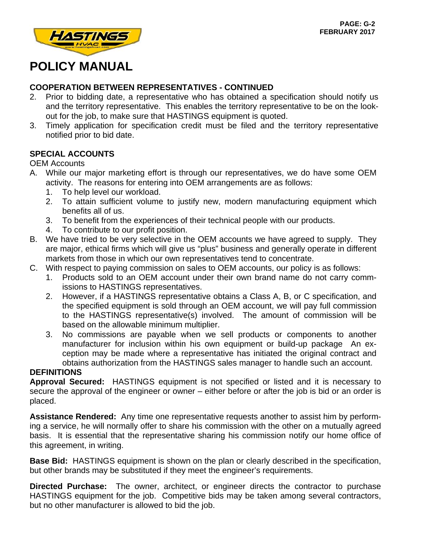

### **COOPERATION BETWEEN REPRESENTATIVES - CONTINUED**

- 2. Prior to bidding date, a representative who has obtained a specification should notify us and the territory representative. This enables the territory representative to be on the lookout for the job, to make sure that HASTINGS equipment is quoted.
- 3. Timely application for specification credit must be filed and the territory representative notified prior to bid date.

### **SPECIAL ACCOUNTS**

### OEM Accounts

- A. While our major marketing effort is through our representatives, we do have some OEM activity. The reasons for entering into OEM arrangements are as follows:
	- 1. To help level our workload.
	- 2. To attain sufficient volume to justify new, modern manufacturing equipment which benefits all of us.
	- 3. To benefit from the experiences of their technical people with our products.
	- 4. To contribute to our profit position.
- B. We have tried to be very selective in the OEM accounts we have agreed to supply. They are major, ethical firms which will give us "plus" business and generally operate in different markets from those in which our own representatives tend to concentrate.
- C. With respect to paying commission on sales to OEM accounts, our policy is as follows:
	- 1. Products sold to an OEM account under their own brand name do not carry commissions to HASTINGS representatives.
	- 2. However, if a HASTINGS representative obtains a Class A, B, or C specification, and the specified equipment is sold through an OEM account, we will pay full commission to the HASTINGS representative(s) involved. The amount of commission will be based on the allowable minimum multiplier.
	- 3. No commissions are payable when we sell products or components to another manufacturer for inclusion within his own equipment or build-up package An exception may be made where a representative has initiated the original contract and obtains authorization from the HASTINGS sales manager to handle such an account.

### **DEFINITIONS**

**Approval Secured:** HASTINGS equipment is not specified or listed and it is necessary to secure the approval of the engineer or owner – either before or after the job is bid or an order is placed.

**Assistance Rendered:** Any time one representative requests another to assist him by performing a service, he will normally offer to share his commission with the other on a mutually agreed basis. It is essential that the representative sharing his commission notify our home office of this agreement, in writing.

**Base Bid:** HASTINGS equipment is shown on the plan or clearly described in the specification, but other brands may be substituted if they meet the engineer's requirements.

**Directed Purchase:** The owner, architect, or engineer directs the contractor to purchase HASTINGS equipment for the job. Competitive bids may be taken among several contractors, but no other manufacturer is allowed to bid the job.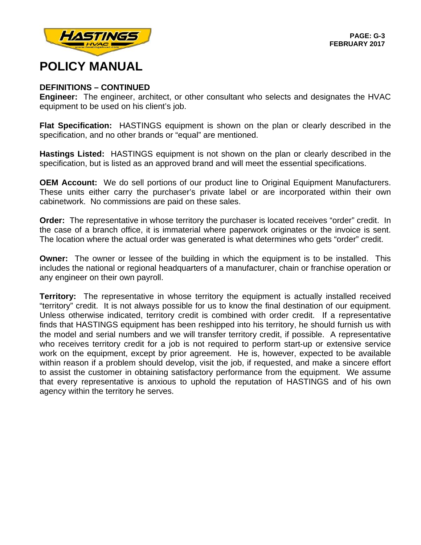

#### **DEFINITIONS – CONTINUED**

**Engineer:** The engineer, architect, or other consultant who selects and designates the HVAC equipment to be used on his client's job.

**Flat Specification:** HASTINGS equipment is shown on the plan or clearly described in the specification, and no other brands or "equal" are mentioned.

**Hastings Listed:** HASTINGS equipment is not shown on the plan or clearly described in the specification, but is listed as an approved brand and will meet the essential specifications.

**OEM Account:** We do sell portions of our product line to Original Equipment Manufacturers. These units either carry the purchaser's private label or are incorporated within their own cabinetwork. No commissions are paid on these sales.

**Order:** The representative in whose territory the purchaser is located receives "order" credit. In the case of a branch office, it is immaterial where paperwork originates or the invoice is sent. The location where the actual order was generated is what determines who gets "order" credit.

**Owner:** The owner or lessee of the building in which the equipment is to be installed. This includes the national or regional headquarters of a manufacturer, chain or franchise operation or any engineer on their own payroll.

**Territory:** The representative in whose territory the equipment is actually installed received "territory" credit. It is not always possible for us to know the final destination of our equipment. Unless otherwise indicated, territory credit is combined with order credit. If a representative finds that HASTINGS equipment has been reshipped into his territory, he should furnish us with the model and serial numbers and we will transfer territory credit, if possible. A representative who receives territory credit for a job is not required to perform start-up or extensive service work on the equipment, except by prior agreement. He is, however, expected to be available within reason if a problem should develop, visit the job, if requested, and make a sincere effort to assist the customer in obtaining satisfactory performance from the equipment. We assume that every representative is anxious to uphold the reputation of HASTINGS and of his own agency within the territory he serves.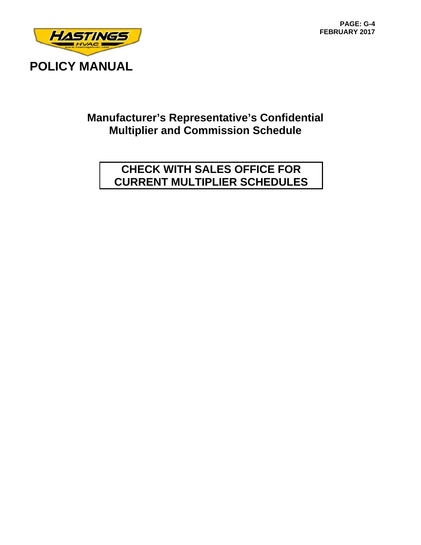

### **Manufacturer's Representative's Confidential Multiplier and Commission Schedule**

### **CHECK WITH SALES OFFICE FOR CURRENT MULTIPLIER SCHEDULES**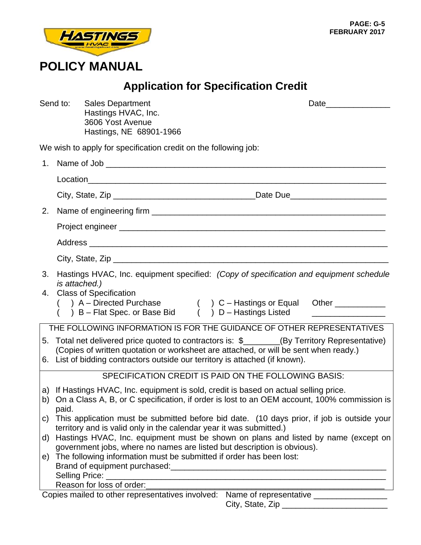

# **Application for Specification Credit**

|          | Send to:                                                                                                                                                          | <b>Sales Department</b><br>Hastings HVAC, Inc.                                                                                                                                                                                                                        | Date_________________ |  |  |  |
|----------|-------------------------------------------------------------------------------------------------------------------------------------------------------------------|-----------------------------------------------------------------------------------------------------------------------------------------------------------------------------------------------------------------------------------------------------------------------|-----------------------|--|--|--|
|          |                                                                                                                                                                   | 3606 Yost Avenue<br>Hastings, NE 68901-1966                                                                                                                                                                                                                           |                       |  |  |  |
|          |                                                                                                                                                                   | We wish to apply for specification credit on the following job:                                                                                                                                                                                                       |                       |  |  |  |
|          |                                                                                                                                                                   |                                                                                                                                                                                                                                                                       |                       |  |  |  |
|          |                                                                                                                                                                   |                                                                                                                                                                                                                                                                       |                       |  |  |  |
|          |                                                                                                                                                                   |                                                                                                                                                                                                                                                                       |                       |  |  |  |
| 2.       |                                                                                                                                                                   |                                                                                                                                                                                                                                                                       |                       |  |  |  |
|          |                                                                                                                                                                   |                                                                                                                                                                                                                                                                       |                       |  |  |  |
|          |                                                                                                                                                                   |                                                                                                                                                                                                                                                                       |                       |  |  |  |
|          |                                                                                                                                                                   |                                                                                                                                                                                                                                                                       |                       |  |  |  |
|          |                                                                                                                                                                   |                                                                                                                                                                                                                                                                       |                       |  |  |  |
| 3.<br>4. | Hastings HVAC, Inc. equipment specified: (Copy of specification and equipment schedule<br>is attached.)<br><b>Class of Specification</b>                          |                                                                                                                                                                                                                                                                       |                       |  |  |  |
|          |                                                                                                                                                                   | () A – Directed Purchase () C – Hastings or Equal Other _________________________<br>() B – Flat Spec. or Base Bid () D – Hastings Listed ___________________________                                                                                                 |                       |  |  |  |
|          |                                                                                                                                                                   | THE FOLLOWING INFORMATION IS FOR THE GUIDANCE OF OTHER REPRESENTATIVES                                                                                                                                                                                                |                       |  |  |  |
|          |                                                                                                                                                                   | 5. Total net delivered price quoted to contractors is: \$_______(By Territory Representative)<br>(Copies of written quotation or worksheet are attached, or will be sent when ready.)<br>6. List of bidding contractors outside our territory is attached (if known). |                       |  |  |  |
|          |                                                                                                                                                                   | SPECIFICATION CREDIT IS PAID ON THE FOLLOWING BASIS:                                                                                                                                                                                                                  |                       |  |  |  |
|          | paid.                                                                                                                                                             | a) If Hastings HVAC, Inc. equipment is sold, credit is based on actual selling price.<br>b) On a Class A, B, or C specification, if order is lost to an OEM account, 100% commission is                                                                               |                       |  |  |  |
| C)       | This application must be submitted before bid date. (10 days prior, if job is outside your<br>territory and is valid only in the calendar year it was submitted.) |                                                                                                                                                                                                                                                                       |                       |  |  |  |
| d)       |                                                                                                                                                                   | Hastings HVAC, Inc. equipment must be shown on plans and listed by name (except on                                                                                                                                                                                    |                       |  |  |  |
| e)       |                                                                                                                                                                   | government jobs, where no names are listed but description is obvious).<br>The following information must be submitted if order has been lost:<br>Selling Price:                                                                                                      |                       |  |  |  |

Reason for loss of order:\_\_\_\_\_\_\_\_\_\_\_\_\_\_\_\_\_\_\_\_\_\_\_\_\_\_\_\_\_\_\_\_\_\_\_\_\_\_\_\_\_\_\_\_\_\_\_\_\_\_\_\_

Copies mailed to other representatives involved: Name of representative \_\_\_\_\_\_\_\_\_\_\_\_\_\_\_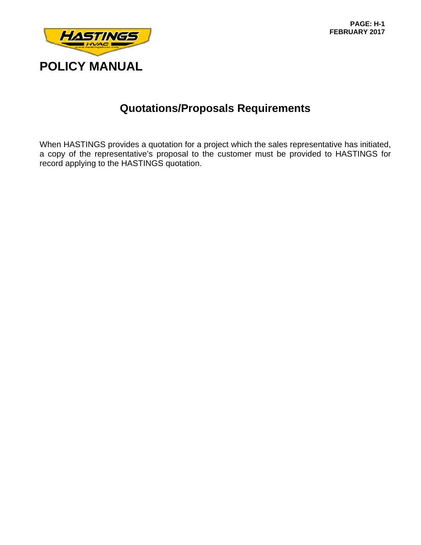

### **Quotations/Proposals Requirements**

When HASTINGS provides a quotation for a project which the sales representative has initiated, a copy of the representative's proposal to the customer must be provided to HASTINGS for record applying to the HASTINGS quotation.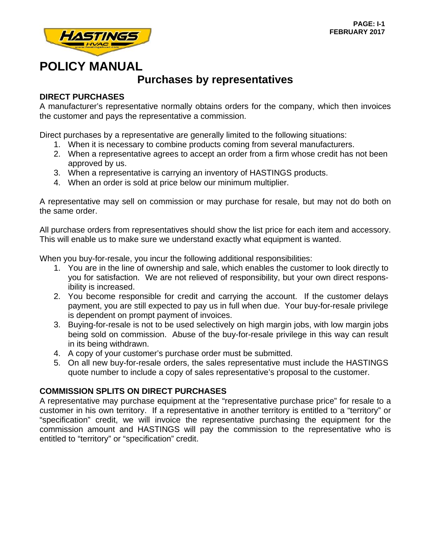

### **Purchases by representatives**

### **DIRECT PURCHASES**

A manufacturer's representative normally obtains orders for the company, which then invoices the customer and pays the representative a commission.

Direct purchases by a representative are generally limited to the following situations:

- 1. When it is necessary to combine products coming from several manufacturers.
- 2. When a representative agrees to accept an order from a firm whose credit has not been approved by us.
- 3. When a representative is carrying an inventory of HASTINGS products.
- 4. When an order is sold at price below our minimum multiplier.

A representative may sell on commission or may purchase for resale, but may not do both on the same order.

All purchase orders from representatives should show the list price for each item and accessory. This will enable us to make sure we understand exactly what equipment is wanted.

When you buy-for-resale, you incur the following additional responsibilities:

- 1. You are in the line of ownership and sale, which enables the customer to look directly to you for satisfaction. We are not relieved of responsibility, but your own direct responsibility is increased.
- 2. You become responsible for credit and carrying the account. If the customer delays payment, you are still expected to pay us in full when due. Your buy-for-resale privilege is dependent on prompt payment of invoices.
- 3. Buying-for-resale is not to be used selectively on high margin jobs, with low margin jobs being sold on commission. Abuse of the buy-for-resale privilege in this way can result in its being withdrawn.
- 4. A copy of your customer's purchase order must be submitted.
- 5. On all new buy-for-resale orders, the sales representative must include the HASTINGS quote number to include a copy of sales representative's proposal to the customer.

### **COMMISSION SPLITS ON DIRECT PURCHASES**

A representative may purchase equipment at the "representative purchase price" for resale to a customer in his own territory. If a representative in another territory is entitled to a "territory" or "specification" credit, we will invoice the representative purchasing the equipment for the commission amount and HASTINGS will pay the commission to the representative who is entitled to "territory" or "specification" credit.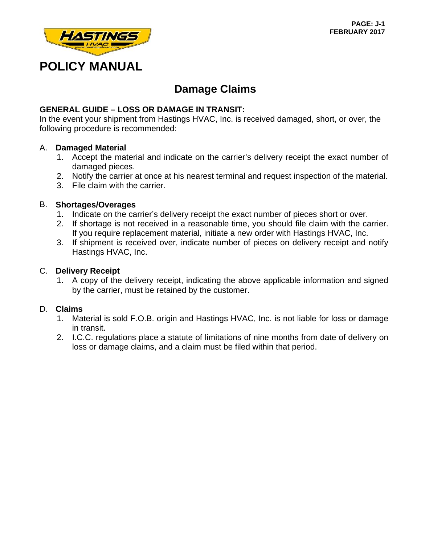

### **Damage Claims**

### **GENERAL GUIDE – LOSS OR DAMAGE IN TRANSIT:**

In the event your shipment from Hastings HVAC, Inc. is received damaged, short, or over, the following procedure is recommended:

#### A. **Damaged Material**

- 1. Accept the material and indicate on the carrier's delivery receipt the exact number of damaged pieces.
- 2. Notify the carrier at once at his nearest terminal and request inspection of the material.
- 3. File claim with the carrier.

#### B. **Shortages/Overages**

- 1. Indicate on the carrier's delivery receipt the exact number of pieces short or over.
- 2. If shortage is not received in a reasonable time, you should file claim with the carrier. If you require replacement material, initiate a new order with Hastings HVAC, Inc.
- 3. If shipment is received over, indicate number of pieces on delivery receipt and notify Hastings HVAC, Inc.

#### C. **Delivery Receipt**

 1. A copy of the delivery receipt, indicating the above applicable information and signed by the carrier, must be retained by the customer.

#### D. **Claims**

- 1. Material is sold F.O.B. origin and Hastings HVAC, Inc. is not liable for loss or damage in transit.
- 2. I.C.C. regulations place a statute of limitations of nine months from date of delivery on loss or damage claims, and a claim must be filed within that period.